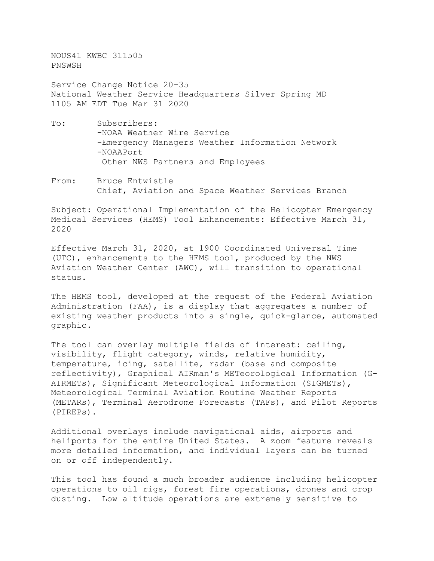NOUS41 KWBC 311505 PNSWSH

Service Change Notice 20-35 National Weather Service Headquarters Silver Spring MD 1105 AM EDT Tue Mar 31 2020

- To: Subscribers: -NOAA Weather Wire Service -Emergency Managers Weather Information Network -NOAAPort Other NWS Partners and Employees
- From: Bruce Entwistle Chief, Aviation and Space Weather Services Branch

Subject: Operational Implementation of the Helicopter Emergency Medical Services (HEMS) Tool Enhancements: Effective March 31, 2020

Effective March 31, 2020, at 1900 Coordinated Universal Time (UTC), enhancements to the HEMS tool, produced by the NWS Aviation Weather Center (AWC), will transition to operational status.

The HEMS tool, developed at the request of the Federal Aviation Administration (FAA), is a display that aggregates a number of existing weather products into a single, quick-glance, automated graphic.

The tool can overlay multiple fields of interest: ceiling, visibility, flight category, winds, relative humidity, temperature, icing, satellite, radar (base and composite reflectivity), Graphical AIRman's METeorological Information (G-AIRMETs), Significant Meteorological Information (SIGMETs), Meteorological Terminal Aviation Routine Weather Reports (METARs), Terminal Aerodrome Forecasts (TAFs), and Pilot Reports (PIREPs).

Additional overlays include navigational aids, airports and heliports for the entire United States. A zoom feature reveals more detailed information, and individual layers can be turned on or off independently.

This tool has found a much broader audience including helicopter operations to oil rigs, forest fire operations, drones and crop dusting. Low altitude operations are extremely sensitive to